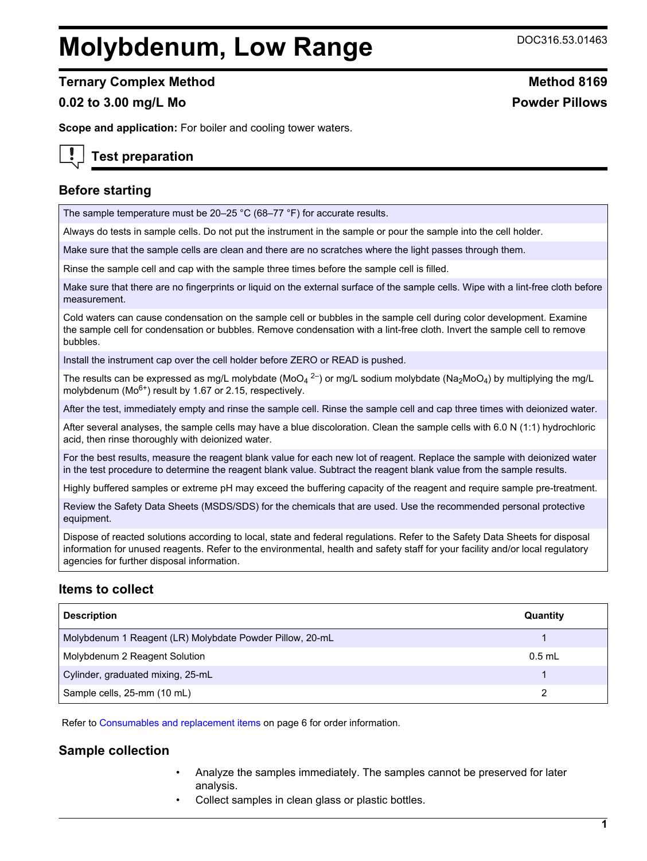# **Molybdenum, Low Range** DOC316.53.01463

## **Ternary Complex Method Method Method 8169**

## **0.02 to 3.00 mg/L Mo Powder Pillows**

**Scope and application:** For boiler and cooling tower waters.

# **Test preparation**

## **Before starting**

The sample temperature must be 20–25 °C (68–77 °F) for accurate results.

Always do tests in sample cells. Do not put the instrument in the sample or pour the sample into the cell holder.

Make sure that the sample cells are clean and there are no scratches where the light passes through them.

Rinse the sample cell and cap with the sample three times before the sample cell is filled.

Make sure that there are no fingerprints or liquid on the external surface of the sample cells. Wipe with a lint-free cloth before measurement.

Cold waters can cause condensation on the sample cell or bubbles in the sample cell during color development. Examine the sample cell for condensation or bubbles. Remove condensation with a lint-free cloth. Invert the sample cell to remove bubbles.

Install the instrument cap over the cell holder before ZERO or READ is pushed.

The results can be expressed as mg/L molybdate (MoO<sub>4</sub> <sup>2–</sup>) or mg/L sodium molybdate (Na<sub>2</sub>MoO<sub>4</sub>) by multiplying the mg/L molybdenum ( $Mo<sup>6+</sup>$ ) result by 1.67 or 2.15, respectively.

After the test, immediately empty and rinse the sample cell. Rinse the sample cell and cap three times with deionized water.

After several analyses, the sample cells may have a blue discoloration. Clean the sample cells with 6.0 N (1:1) hydrochloric acid, then rinse thoroughly with deionized water.

For the best results, measure the reagent blank value for each new lot of reagent. Replace the sample with deionized water in the test procedure to determine the reagent blank value. Subtract the reagent blank value from the sample results.

Highly buffered samples or extreme pH may exceed the buffering capacity of the reagent and require sample pre-treatment.

Review the Safety Data Sheets (MSDS/SDS) for the chemicals that are used. Use the recommended personal protective equipment.

Dispose of reacted solutions according to local, state and federal regulations. Refer to the Safety Data Sheets for disposal information for unused reagents. Refer to the environmental, health and safety staff for your facility and/or local regulatory agencies for further disposal information.

## **Items to collect**

| <b>Description</b>                                       | Quantity |
|----------------------------------------------------------|----------|
| Molybdenum 1 Reagent (LR) Molybdate Powder Pillow, 20-mL |          |
| Molybdenum 2 Reagent Solution                            | $0.5$ mL |
| Cylinder, graduated mixing, 25-mL                        |          |
| Sample cells, 25-mm (10 mL)                              |          |

Refer to [Consumables and replacement items](#page-5-0) on page 6 for order information.

## **Sample collection**

- Analyze the samples immediately. The samples cannot be preserved for later analysis.
- Collect samples in clean glass or plastic bottles.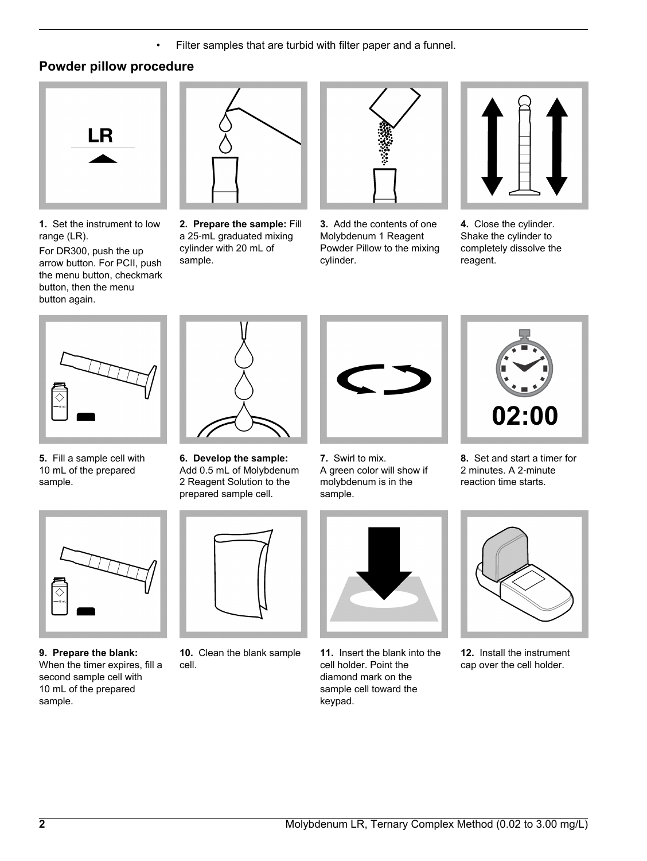• Filter samples that are turbid with filter paper and a funnel.

# **Powder pillow procedure**



**1.** Set the instrument to low range (LR).

For DR300, push the up arrow button. For PCII, push the menu button, checkmark button, then the menu button again.



**2. Prepare the sample:** Fill a 25‑mL graduated mixing cylinder with 20 mL of sample.



**3.** Add the contents of one Molybdenum 1 Reagent Powder Pillow to the mixing cylinder.



**4.** Close the cylinder. Shake the cylinder to completely dissolve the reagent.



**5.** Fill a sample cell with 10 mL of the prepared sample.



**9. Prepare the blank:** When the timer expires, fill a second sample cell with 10 mL of the prepared sample.



**6. Develop the sample:** Add 0.5 mL of Molybdenum 2 Reagent Solution to the prepared sample cell.



**10.** Clean the blank sample cell.



**7.** Swirl to mix. A green color will show if molybdenum is in the sample.



**11.** Insert the blank into the cell holder. Point the diamond mark on the sample cell toward the keypad.



**8.** Set and start a timer for 2 minutes. A 2‑minute reaction time starts.



**12.** Install the instrument cap over the cell holder.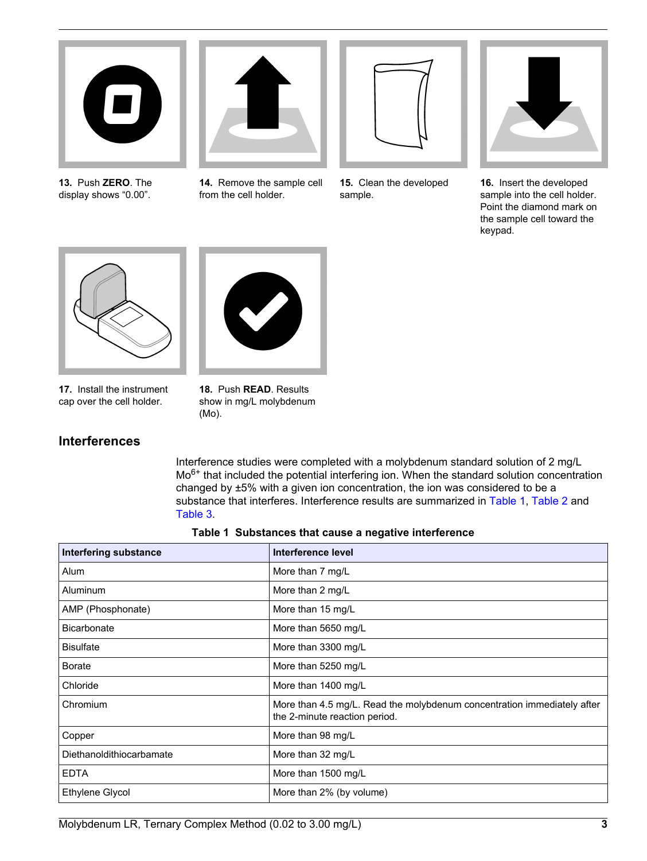

**13.** Push **ZERO**. The display shows "0.00".



**14.** Remove the sample cell from the cell holder.



**15.** Clean the developed sample.



**16.** Insert the developed sample into the cell holder. Point the diamond mark on the sample cell toward the keypad.



**17.** Install the instrument cap over the cell holder.



show in mg/L molybdenum (Mo).

# **Interferences**

Interference studies were completed with a molybdenum standard solution of 2 mg/L Mo<sup>6+</sup> that included the potential interfering ion. When the standard solution concentration changed by ±5% with a given ion concentration, the ion was considered to be a substance that interferes. Interference results are summarized in Table 1, [Table 2](#page-3-0) and [Table 3](#page-3-0).

|  |  | Table 1 Substances that cause a negative interference |
|--|--|-------------------------------------------------------|
|  |  |                                                       |

| <b>Interfering substance</b> | Interference level                                                                                       |
|------------------------------|----------------------------------------------------------------------------------------------------------|
| Alum                         | More than 7 mg/L                                                                                         |
| Aluminum                     | More than 2 mg/L                                                                                         |
| AMP (Phosphonate)            | More than 15 mg/L                                                                                        |
| <b>Bicarbonate</b>           | More than 5650 mg/L                                                                                      |
| <b>Bisulfate</b>             | More than 3300 mg/L                                                                                      |
| <b>Borate</b>                | More than 5250 mg/L                                                                                      |
| Chloride                     | More than 1400 mg/L                                                                                      |
| Chromium                     | More than 4.5 mg/L. Read the molybdenum concentration immediately after<br>the 2-minute reaction period. |
| Copper                       | More than 98 mg/L                                                                                        |
| Diethanoldithiocarbamate     | More than 32 mg/L                                                                                        |
| <b>EDTA</b>                  | More than 1500 mg/L                                                                                      |
| <b>Ethylene Glycol</b>       | More than 2% (by volume)                                                                                 |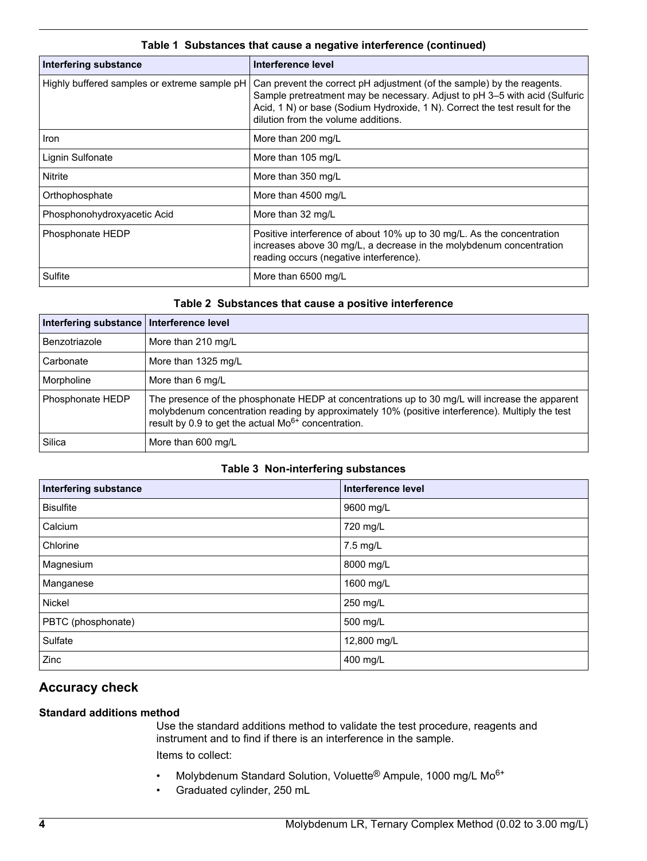<span id="page-3-0"></span>

| <b>Interfering substance</b>                 | Interference level                                                                                                                                                                                                                                                         |
|----------------------------------------------|----------------------------------------------------------------------------------------------------------------------------------------------------------------------------------------------------------------------------------------------------------------------------|
| Highly buffered samples or extreme sample pH | Can prevent the correct pH adjustment (of the sample) by the reagents.<br>Sample pretreatment may be necessary. Adjust to pH 3-5 with acid (Sulfuric<br>Acid, 1 N) or base (Sodium Hydroxide, 1 N). Correct the test result for the<br>dilution from the volume additions. |
| <b>Iron</b>                                  | More than 200 mg/L                                                                                                                                                                                                                                                         |
| Lignin Sulfonate                             | More than 105 mg/L                                                                                                                                                                                                                                                         |
| Nitrite                                      | More than 350 mg/L                                                                                                                                                                                                                                                         |
| Orthophosphate                               | More than 4500 mg/L                                                                                                                                                                                                                                                        |
| Phosphonohydroxyacetic Acid                  | More than 32 mg/L                                                                                                                                                                                                                                                          |
| Phosphonate HEDP                             | Positive interference of about 10% up to 30 mg/L. As the concentration<br>increases above 30 mg/L, a decrease in the molybdenum concentration<br>reading occurs (negative interference).                                                                                   |
| Sulfite                                      | More than 6500 mg/L                                                                                                                                                                                                                                                        |

## **Table 1 Substances that cause a negative interference (continued)**

## **Table 2 Substances that cause a positive interference**

| Interfering substance   Interference level |                                                                                                                                                                                                                                                                 |
|--------------------------------------------|-----------------------------------------------------------------------------------------------------------------------------------------------------------------------------------------------------------------------------------------------------------------|
| Benzotriazole                              | More than 210 mg/L                                                                                                                                                                                                                                              |
| Carbonate                                  | More than 1325 mg/L                                                                                                                                                                                                                                             |
| Morpholine                                 | More than 6 mg/L                                                                                                                                                                                                                                                |
| Phosphonate HEDP                           | The presence of the phosphonate HEDP at concentrations up to 30 mg/L will increase the apparent<br>molybdenum concentration reading by approximately 10% (positive interference). Multiply the test<br>result by 0.9 to get the actual $Mo^{6+}$ concentration. |
| Silica                                     | More than 600 mg/L                                                                                                                                                                                                                                              |

## **Table 3 Non-interfering substances**

| <b>Interfering substance</b> | Interference level |
|------------------------------|--------------------|
| <b>Bisulfite</b>             | 9600 mg/L          |
| Calcium                      | 720 mg/L           |
| Chlorine                     | 7.5 mg/L           |
| Magnesium                    | 8000 mg/L          |
| Manganese                    | 1600 mg/L          |
| Nickel                       | 250 mg/L           |
| PBTC (phosphonate)           | 500 mg/L           |
| Sulfate                      | 12,800 mg/L        |
| Zinc                         | 400 mg/L           |

# **Accuracy check**

# **Standard additions method**

Use the standard additions method to validate the test procedure, reagents and instrument and to find if there is an interference in the sample. Items to collect:

- Molybdenum Standard Solution, Voluette® Ampule, 1000 mg/L Mo6+
- Graduated cylinder, 250 mL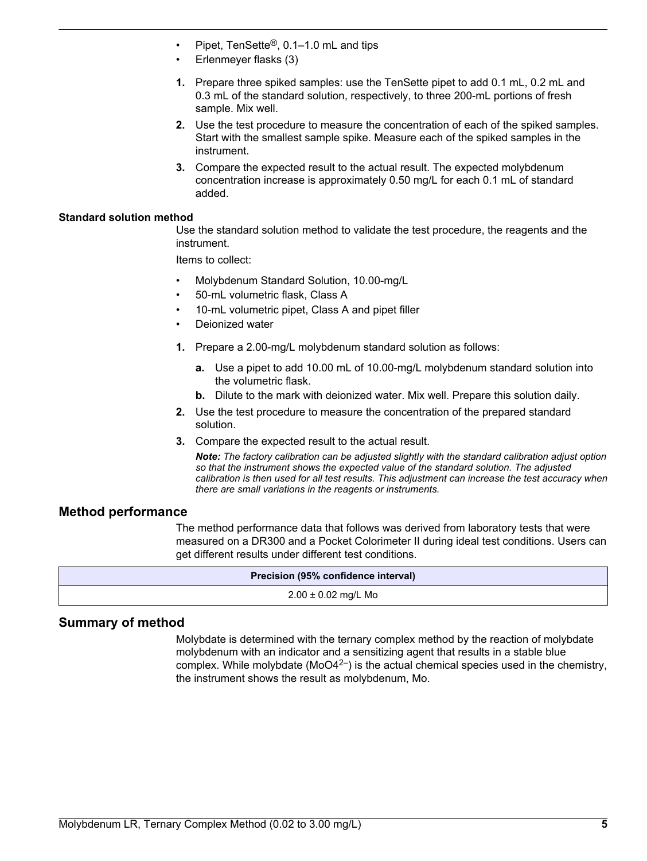- Pipet, TenSette®, 0.1–1.0 mL and tips
- Erlenmeyer flasks (3)
- **1.** Prepare three spiked samples: use the TenSette pipet to add 0.1 mL, 0.2 mL and 0.3 mL of the standard solution, respectively, to three 200-mL portions of fresh sample. Mix well.
- **2.** Use the test procedure to measure the concentration of each of the spiked samples. Start with the smallest sample spike. Measure each of the spiked samples in the instrument.
- **3.** Compare the expected result to the actual result. The expected molybdenum concentration increase is approximately 0.50 mg/L for each 0.1 mL of standard added.

#### **Standard solution method**

Use the standard solution method to validate the test procedure, the reagents and the instrument.

Items to collect:

- Molybdenum Standard Solution, 10.00-mg/L
- 50-mL volumetric flask, Class A
- 10-mL volumetric pipet, Class A and pipet filler
- Deionized water
- **1.** Prepare a 2.00-mg/L molybdenum standard solution as follows:
	- **a.** Use a pipet to add 10.00 mL of 10.00-mg/L molybdenum standard solution into the volumetric flask.
	- **b.** Dilute to the mark with deionized water. Mix well. Prepare this solution daily.
- **2.** Use the test procedure to measure the concentration of the prepared standard solution.
- **3.** Compare the expected result to the actual result.

*Note: The factory calibration can be adjusted slightly with the standard calibration adjust option so that the instrument shows the expected value of the standard solution. The adjusted calibration is then used for all test results. This adjustment can increase the test accuracy when there are small variations in the reagents or instruments.*

#### **Method performance**

The method performance data that follows was derived from laboratory tests that were measured on a DR300 and a Pocket Colorimeter II during ideal test conditions. Users can get different results under different test conditions.

| Precision (95% confidence interval) |
|-------------------------------------|
| $2.00 \pm 0.02$ mg/L Mo             |

## **Summary of method**

Molybdate is determined with the ternary complex method by the reaction of molybdate molybdenum with an indicator and a sensitizing agent that results in a stable blue complex. While molybdate ( $MoO4<sup>2-</sup>$ ) is the actual chemical species used in the chemistry, the instrument shows the result as molybdenum, Mo.